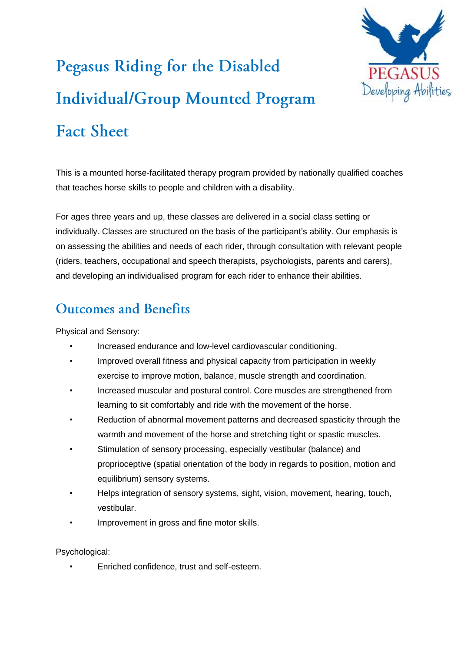

## Pegasus Riding for the Disabled **Individual/Group Mounted Program Fact Sheet**

This is a mounted horse-facilitated therapy program provided by nationally qualified coaches that teaches horse skills to people and children with a disability.

For ages three years and up, these classes are delivered in a social class setting or individually. Classes are structured on the basis of the participant's ability. Our emphasis is on assessing the abilities and needs of each rider, through consultation with relevant people (riders, teachers, occupational and speech therapists, psychologists, parents and carers), and developing an individualised program for each rider to enhance their abilities.

## **Outcomes and Benefits**

Physical and Sensory:

- Increased endurance and low-level cardiovascular conditioning.
- Improved overall fitness and physical capacity from participation in weekly exercise to improve motion, balance, muscle strength and coordination.
- Increased muscular and postural control. Core muscles are strengthened from learning to sit comfortably and ride with the movement of the horse.
- Reduction of abnormal movement patterns and decreased spasticity through the warmth and movement of the horse and stretching tight or spastic muscles.
- Stimulation of sensory processing, especially vestibular (balance) and proprioceptive (spatial orientation of the body in regards to position, motion and equilibrium) sensory systems.
- Helps integration of sensory systems, sight, vision, movement, hearing, touch, vestibular.
- Improvement in gross and fine motor skills.

Psychological:

• Enriched confidence, trust and self-esteem.